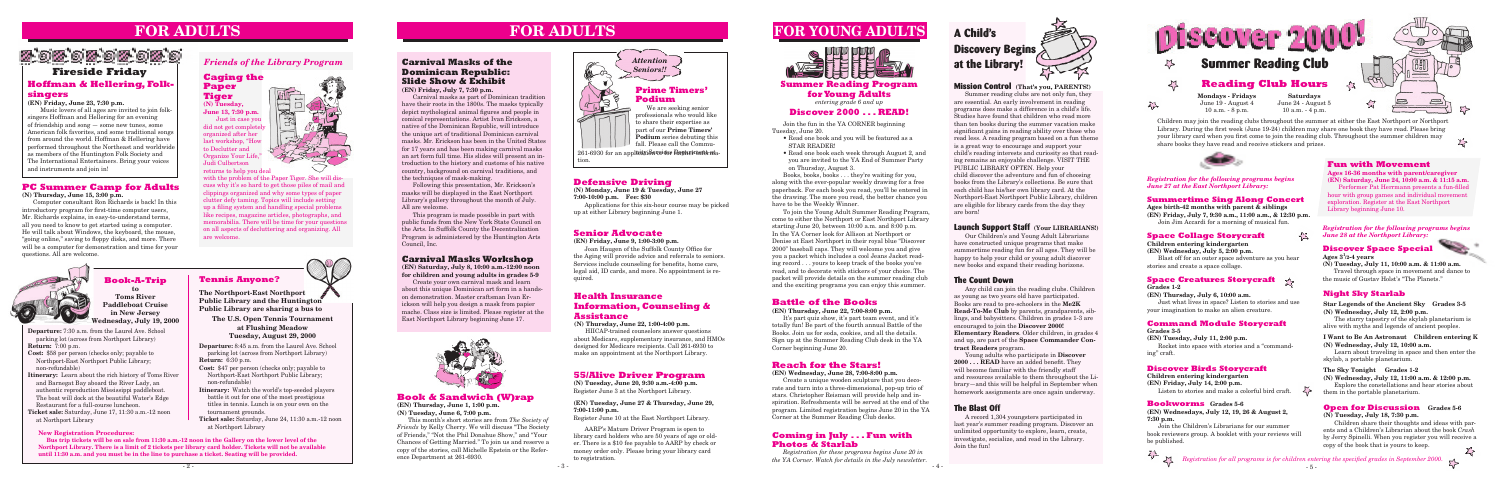**Departure:** 7:30 a.m. from the Laurel Ave. School parking lot (across from Northport Library) **Return:** 7:00 p.m.

- **Cost:** \$58 per person (checks only; payable to Northport-East Northport Public Library; non-refundable)
- **Itinerary:** Learn about the rich history of Toms River and Barnegat Bay aboard the River Lady, an authentic reproduction Mississippi paddleboat. The boat will dock at the beautiful Water's Edge Restaurant for a full-course luncheon.
- **Ticket sale:** Saturday, June 17, 11:30 a.m.-12 noon at Northport Library

# **Book-A-Trip**

**to Toms River Paddleboat Cruise in New Jersey Wednesday, July 19, 2000**

 $\sum$ 

# **55/Alive Driver Program**

**(N) Tuesday, June 20, 9:30 a.m.-4:00 p.m.** Register June 3 at the Northport Library.

#### **(EN) Tuesday, June 27 & Thursday, June 29, 7:00-11:00 p.m.**

Register June 10 at the East Northport Library.

AARP's Mature Driver Program is open to library card holders who are 50 years of age or older. There is a \$10 fee payable to AARP by check or money order only. Please bring your library card to registration.

# **Health Insurance Information, Counseling & Assistance**

**(N) Thursday, June 22, 1:00-4:00 p.m.**

HIICAP-trained counselors answer questions about Medicare, supplementary insurance, and HMOs designed for Medicare recipients. Call 261-6930 to make an appointment at the Northport Library.

# **Senior Advocate**

**(EN) Friday, June 9, 1:00-3:00 p.m.**

 Joan Haugen of the Suffolk County Office for the Aging will provide advice and referrals to seniors. Services include counseling for benefits, home care, legal aid, ID cards, and more. No appointment is required.

# **FOR ADULTS FOR ADULTS**

# **PC Summer Camp for Adults**

**(N) Thursday, June 15, 3:00 p.m.**

Computer consultant Ron Richards is back! In this introductory program for first-time computer users, Mr. Richards explains, in easy-to-understand terms, all you need to know to get started using a computer. He will talk about Windows, the keyboard, the mouse, "going online," saving to floppy disks, and more. There will be a computer for demonstration and time for your questions. All are welcome.

# **Book & Sandwich (W)rap**

**(EN) Thursday, June 1, 1:00 p.m. (N) Tuesday, June 6, 7:00 p.m.**

This month's short stories are from *The Society of Friends* by Kelly Cherry. We will discuss "The Society of Friends," "Not the Phil Donahue Show," and "Your Chances of Getting Married." To join us and reserve a copy of the stories, call Michelle Epstein or the Reference Department at 261-6930.



# **FOR YOUNG ADULTS**





tion.

- **Departure:** 8:45 a.m. from the Laurel Ave. School parking lot (across from Northport Library) **Return:** 6:30 p.m.
- 
- **Cost:** \$47 per person (checks only; payable to Northport-East Northport Public Library; non-refundable)
- **Itinerary:** Watch the world's top-seeded players battle it out for one of the most prestigious titles in tennis. Lunch is on your own on the tournament grounds.
- **Ticket sale:** Saturday, June 24, 11:30 a.m.-12 noon at Northport Library

**Tennis Anyone?**

# **Carnival Masks of the Dominican Republic: Slide Show & Exhibit**

**(EN) Friday, July 7, 7:30 p.m.**

Carnival masks as part of Dominican tradition have their roots in the 1800s. The masks typically depict mythological animal figures and people in comical representations. Artist Ivan Erickson, a native of the Dominican Republic, will introduce the unique art of traditional Dominican carnival masks. Mr. Erickson has been in the United States for 17 years and has been making carnival masks an art form full time. His slides will present an introduction to the history and customs of his native country, background on carnival traditions, and the techniques of mask-making.

Following this presentation, Mr. Erickson's masks will be displayed in the East Northport Library's gallery throughout the month of July. All are welcome.

This program is made possible in part with public funds from the New York State Council on the Arts. In Suffolk County the Decentralization Program is administered by the Huntington Arts Council, Inc.

# *Friends of the Library Program*

# **Carnival Masks Workshop**

# 5,00,00,00,00,0 **Fireside Friday**

**(EN) Saturday, July 8, 10:00 a.m.-12:00 noon for children and young adults in grades 5-9**

Create your own carnival mask and learn about this unique Dominican art form in a handson demonstration. Master craftsman Ivan Erickson will help you design a mask from papier mache. Class size is limited. Please register at the East Northport Library beginning June 17.



# **Hoffman & Hellering, Folksingers**

#### **(EN) Friday, June 23, 7:30 p.m.**

 Music lovers of all ages are invited to join folksingers Hoffman and Hellering for an evening of friendship and song — some new tunes, some American folk favorites, and some traditional songs from around the world. Hoffman & Hellering have performed throughout the Northeast and worldwide as members of the Huntington Folk Society and The International Entertainers. Bring your voices and instruments and join in!

> **The Northport-East Northport Public Library and the Huntington Public Library are sharing a bus to**

**The U.S. Open Tennis Tournament at Flushing Meadow Tuesday, August 29, 2000**

#### **New Registration Procedures:**

**Bus trip tickets will be on sale from 11:30 a.m.-12 noon in the Gallery on the lower level of the Northport Library. There is a limit of 2 tickets per library card holder. Tickets will not be available until 11:30 a.m. and you must be in the line to purchase a ticket. Seating will be provided.** 

### **Summer Reading Program for Young Adults** *entering grade 6 and up*

### **Discover 2000 . . . READ!**

Join the fun in the YA CORNER beginning Tuesday, June 20.

- Read one book and you will be featured as a STAR READER!
- Read one book each week through August 2, and you are invited to the YA End of Summer Party on Thursday, August 3.

Books, books, books . . . they're waiting for you, along with the ever-popular weekly drawing for a free paperback. For each book you read, you'll be entered in the drawing. The more you read, the better chance you have to be the Weekly Winner.

> Children share their thoughts and ideas with parents and a Children's Librarian about the book *Crash*  by Jerry Spinelli. When you register you will receive a copy of the book that is yours to keep.  $\Sigma$



To join the Young Adult Summer Reading Program, come to either the Northport or East Northport Library starting June 20, between 10:00 a.m. and 8:00 p.m. In the YA Corner look for Allison at Northport or Denise at East Northport in their royal blue "Discover 2000" baseball caps. They will welcome you and give you a packet which includes a cool Jeans Jacket reading record . . . yours to keep track of the books you've read, and to decorate with stickers of your choice. The packet will provide details on the summer reading club and the exciting programs you can enjoy this summer.

# **Battle of the Books**

#### **(EN) Thursday, June 22, 7:00-8:00 p.m.**

It's part quiz show, it's part team event, and it's totally fun! Be part of the fourth annual Battle of the Books. Join us for soda, cookies, and all the details. Sign up at the Summer Reading Club desk in the YA Corner beginning June 20.

# **Reach for the Stars!**

**(EN) Wednesday, June 28, 7:00-8:00 p.m.** Create a unique wooden sculpture that you decorate and turn into a three-dimensional, pop-up trio of stars. Christopher Reisman will provide help and inspiration. Refreshments will be served at the end of the program. Limited registration begins June 20 in the YA Corner at the Summer Reading Club desks.

# **Defensive Driving**

**(N) Monday, June 19 & Tuesday, June 27 7:00-10:00 p.m. Fee: \$30** 

Applications for this six-hour course may be picked up at either Library beginning June 1.

**Caging the Paper Tiger**

**(N) Tuesday, June 13, 7:30 p.m.** Just in case you did not get completel organized after her last workshop, "How to Declutter and Organize Your Life," Judi Culbertson returns to help you deal



with the problem of the Paper Tiger. She will discuss why it's so hard to get those piles of mail and clippings organized and why some types of paper clutter defy taming. Topics will include setting up a filing system and handling special problems like recipes, magazine articles, photographs, and memorabilia. There will be time for your questions on all aspects of decluttering and organizing. All are welcome.



*Registration for all programs is for children entering the specified grades in September 2000.*

#### **Fun with Movement**

**Ages 16-36 months with parent/caregiver (EN) Saturday, June 24, 10:00 a.m. & 11:15 a.m.**

 Performer Pat Herrmann presents a fun-filled hour with group games and individual movement exploration. Register at the East Northport Library beginning June 10.

# **A Child's Discovery Begins at the Library!**



Summer reading clubs are not only fun, they are essential. An early involvement in reading programs does make a difference in a child's life. Studies have found that children who read more than ten books during the summer vacation make significant gains in reading ability over those who read less. A reading program based on a fun theme is a great way to encourage and support your child's reading interests and curiosity so that reading remains an enjoyable challenge. VISIT THE PUBLIC LIBRARY OFTEN. Help your child discover the adventure and fun of choosing books from the Library's collections. Be sure that each child has his/her own library card. At the Northport-East Northport Public Library, children are eligible for library cards from the day they are born!

# **Launch Support Staff (Your LIBRARIANS!)**

Our Children's and Young Adult Librarians have constructed unique programs that make summertime reading fun for all ages. They will be happy to help your child or young adult discover new books and expand their reading horizons.

# **The Count Down**

Any child can join the reading clubs. Children as young as two years old have participated. Books are read to pre-schoolers in the **Me2K Read-To-Me Club** by parents, grandparents, siblings, and babysitters. Children in grades 1-3 are encouraged to join the **Discover 2000! Elementary Readers**. Older children, in grades 4 and up, are part of the **Space Commander Contract Readers** program.

Young adults who participate in **Discover 2000 . . . READ** have an added benefit. They will become familiar with the friendly staff and resources available to them throughout the Library—and this will be helpful in September when homework assignments are once again underway.

# **The Blast Off**

A record 1,304 youngsters participated in last year's summer reading program. Discover an unlimited opportunity to explore, learn, create, investigate, socialize, and read in the Library. Join the fun!

# **Coming in July . . . Fun with Photos & Starlab**

*Registration for these programs begins June 20 in the YA Corner. Watch for details in the July newsletter.*

#### **Summertime Sing Along Concert**

**Ages birth-42 months with parent & siblings (EN) Friday, July 7, 9:30 a.m., 11:00 a.m., & 12:30 p.m.** Join Jim Accardi for a morning of musical fun.

#### **Space Collage Storycraft**

**Children entering kindergarten**

**(EN) Wednesday, July 5, 2:00 p.m.**

Blast off for an outer space adventure as you hear stories and create a space collage.

*Registration for the following programs begins June 27 at the East Northport Library:*

# **Space Creatures Storycraft**

**Grades 1-2**

**(EN) Thursday, July 6, 10:00 a.m.**

Just what lives in space? Listen to stories and use your imagination to make an alien creature.

# **Command Module Storycraft**

#### **Grades 3-5**

**(EN) Tuesday, July 11, 2:00 p.m.**

Rocket into space with stories and a "commanding" craft.

#### **Discover Birds Storycraft**

**Children entering kindergarten**

**(EN) Friday, July 14, 2:00 p.m.** Listen to stories and make a colorful bird craft.

#### **Bookworms Grades 5-6**

**(EN) Wednesdays, July 12, 19, 26 & August 2, 7:30 p.m.**

Join the Children's Librarians for our summer book reviewers group. A booklet with your reviews will be published.

*Registration for the following programs begins June 28 at the Northport Library:*

### **Discover Space Special**

#### **Ages 3<sup>1</sup> /2-4 years**

**(N) Tuesday, July 11, 10:00 a.m. & 11:00 a.m.** Travel through space in movement and dance to the music of Gustav Holst's "The Planets."

# **Night Sky Starlab**

**Star Legends of the Ancient Sky Grades 3-5 (N) Wednesday, July 12, 2:00 p.m.**

The starry tapestry of the skylab planetarium is alive with myths and legends of ancient peoples.

#### **I Want to Be An Astronaut Children entering K (N) Wednesday, July 12, 10:00 a.m.**

Learn about traveling in space and then enter the skylab, a portable planetarium.

#### **The Sky Tonight Grades 1-2**

**(N) Wednesday, July 12, 11:00 a.m. & 12:00 p.m.**

Explore the constellations and hear stories about them in the portable planetarium.

#### **Open for Discussion Grades 5-6**

#### **(N) Tuesday, July 18, 7:30 p.m.**



Children may join the reading clubs throughout the summer at either the East Northport or Northport Library. During the first week (June 19-24) children may share one book they have read. Please bring your library card when you first come to join the reading club. Throughout the summer children may share books they have read and receive stickers and prizes.

 $\sum$